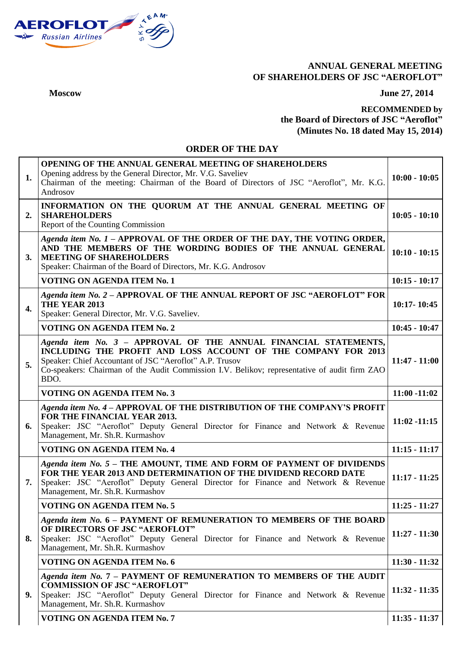

## **ANNUAL GENERAL MEETING OF SHAREHOLDERS OF JSC "AEROFLOT"**

**Moscow June 27, 2014**

## **RECOMMENDED by the Board of Directors of JSC "Aeroflot" (Minutes No. 18 dated May 15, 2014)**

## **ORDER OF THE DAY**

| 1.           | <b>OPENING OF THE ANNUAL GENERAL MEETING OF SHAREHOLDERS</b><br>Opening address by the General Director, Mr. V.G. Saveliev<br>Chairman of the meeting: Chairman of the Board of Directors of JSC "Aeroflot", Mr. K.G.<br>Androsov                                                                    | $10:00 - 10:05$ |
|--------------|------------------------------------------------------------------------------------------------------------------------------------------------------------------------------------------------------------------------------------------------------------------------------------------------------|-----------------|
| 2.           | INFORMATION ON THE QUORUM AT THE ANNUAL GENERAL MEETING OF<br><b>SHAREHOLDERS</b><br>Report of the Counting Commission                                                                                                                                                                               | $10:05 - 10:10$ |
| 3.           | Agenda item No. 1 - APPROVAL OF THE ORDER OF THE DAY, THE VOTING ORDER,<br>AND THE MEMBERS OF THE WORDING BODIES OF THE ANNUAL GENERAL<br><b>MEETING OF SHAREHOLDERS</b><br>Speaker: Chairman of the Board of Directors, Mr. K.G. Androsov                                                           | $10:10 - 10:15$ |
|              | <b>VOTING ON AGENDA ITEM No. 1</b>                                                                                                                                                                                                                                                                   | $10:15 - 10:17$ |
| $\mathbf{4}$ | Agenda item No. 2 - APPROVAL OF THE ANNUAL REPORT OF JSC "AEROFLOT" FOR<br>THE YEAR 2013<br>Speaker: General Director, Mr. V.G. Saveliev.                                                                                                                                                            | $10:17 - 10:45$ |
|              | <b>VOTING ON AGENDA ITEM No. 2</b>                                                                                                                                                                                                                                                                   | $10:45 - 10:47$ |
| 5.           | Agenda item No. 3 - APPROVAL OF THE ANNUAL FINANCIAL STATEMENTS,<br>INCLUDING THE PROFIT AND LOSS ACCOUNT OF THE COMPANY FOR 2013<br>Speaker: Chief Accountant of JSC "Aeroflot" A.P. Trusov<br>Co-speakers: Chairman of the Audit Commission I.V. Belikov; representative of audit firm ZAO<br>BDO. | $11:47 - 11:00$ |
|              | <b>VOTING ON AGENDA ITEM No. 3</b>                                                                                                                                                                                                                                                                   | $11:00 - 11:02$ |
| 6.           | Agenda item No. 4 - APPROVAL OF THE DISTRIBUTION OF THE COMPANY'S PROFIT<br>FOR THE FINANCIAL YEAR 2013.<br>Speaker: JSC "Aeroflot" Deputy General Director for Finance and Network & Revenue<br>Management, Mr. Sh.R. Kurmashov                                                                     | $11:02 - 11:15$ |
|              | <b>VOTING ON AGENDA ITEM No. 4</b>                                                                                                                                                                                                                                                                   | $11:15 - 11:17$ |
| 7.           | Agenda item No. 5 - THE AMOUNT, TIME AND FORM OF PAYMENT OF DIVIDENDS<br>FOR THE YEAR 2013 AND DETERMINATION OF THE DIVIDEND RECORD DATE<br>Speaker: JSC "Aeroflot" Deputy General Director for Finance and Network & Revenue<br>Management, Mr. Sh.R. Kurmashov                                     | $11:17 - 11:25$ |
|              | <b>VOTING ON AGENDA ITEM No. 5</b>                                                                                                                                                                                                                                                                   | $11:25 - 11:27$ |
| 8.           | Agenda item No. 6 - PAYMENT OF REMUNERATION TO MEMBERS OF THE BOARD                                                                                                                                                                                                                                  |                 |
|              | OF DIRECTORS OF JSC "AEROFLOT"<br>Speaker: JSC "Aeroflot" Deputy General Director for Finance and Network & Revenue<br>Management, Mr. Sh.R. Kurmashov                                                                                                                                               | $11:27 - 11:30$ |
|              | <b>VOTING ON AGENDA ITEM No. 6</b>                                                                                                                                                                                                                                                                   | $11:30 - 11:32$ |
| 9.           | Agenda item No. 7 - PAYMENT OF REMUNERATION TO MEMBERS OF THE AUDIT<br><b>COMMISSION OF JSC "AEROFLOT"</b><br>Speaker: JSC "Aeroflot" Deputy General Director for Finance and Network & Revenue<br>Management, Mr. Sh.R. Kurmashov                                                                   | $11:32 - 11:35$ |
|              | VOTING ON AGENDA ITEM No. 7                                                                                                                                                                                                                                                                          | $11:35 - 11:37$ |